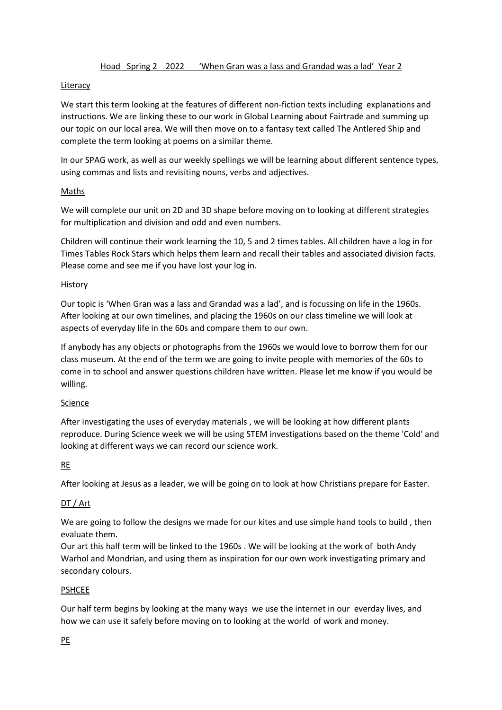### Literacy

We start this term looking at the features of different non-fiction texts including explanations and instructions. We are linking these to our work in Global Learning about Fairtrade and summing up our topic on our local area. We will then move on to a fantasy text called The Antlered Ship and complete the term looking at poems on a similar theme.

In our SPAG work, as well as our weekly spellings we will be learning about different sentence types, using commas and lists and revisiting nouns, verbs and adjectives.

# **Maths**

We will complete our unit on 2D and 3D shape before moving on to looking at different strategies for multiplication and division and odd and even numbers.

Children will continue their work learning the 10, 5 and 2 times tables. All children have a log in for Times Tables Rock Stars which helps them learn and recall their tables and associated division facts. Please come and see me if you have lost your log in.

#### History

Our topic is 'When Gran was a lass and Grandad was a lad', and is focussing on life in the 1960s. After looking at our own timelines, and placing the 1960s on our class timeline we will look at aspects of everyday life in the 60s and compare them to our own.

If anybody has any objects or photographs from the 1960s we would love to borrow them for our class museum. At the end of the term we are going to invite people with memories of the 60s to come in to school and answer questions children have written. Please let me know if you would be willing.

#### Science

After investigating the uses of everyday materials , we will be looking at how different plants reproduce. During Science week we will be using STEM investigations based on the theme 'Cold' and looking at different ways we can record our science work.

# RE

After looking at Jesus as a leader, we will be going on to look at how Christians prepare for Easter.

# DT / Art

We are going to follow the designs we made for our kites and use simple hand tools to build, then evaluate them.

Our art this half term will be linked to the 1960s . We will be looking at the work of both Andy Warhol and Mondrian, and using them as inspiration for our own work investigating primary and secondary colours.

#### PSHCEE

Our half term begins by looking at the many ways we use the internet in our everday lives, and how we can use it safely before moving on to looking at the world of work and money.